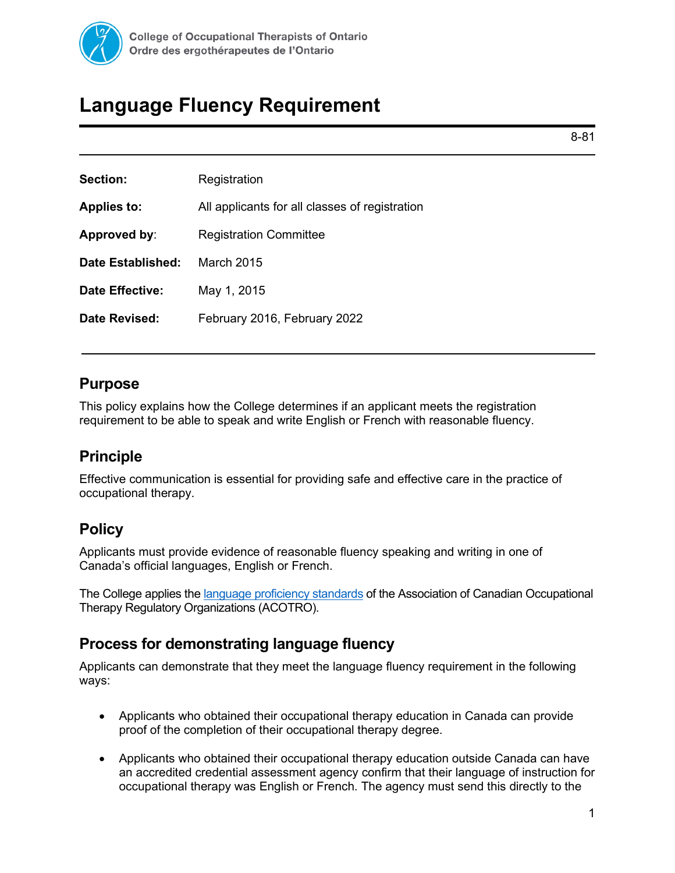

# **Language Fluency Requirement**

8-81

| Section:               | Registration                                   |  |
|------------------------|------------------------------------------------|--|
| <b>Applies to:</b>     | All applicants for all classes of registration |  |
| Approved by:           | <b>Registration Committee</b>                  |  |
| Date Established:      | March 2015                                     |  |
| <b>Date Effective:</b> | May 1, 2015                                    |  |
| Date Revised:          | February 2016, February 2022                   |  |

## **Purpose**

This policy explains how the College determines if an applicant meets the registration requirement to be able to speak and write English or French with reasonable fluency.

# **Principle**

Effective communication is essential for providing safe and effective care in the practice of occupational therapy.

# **Policy**

Applicants must provide evidence of reasonable fluency speaking and writing in one of Canada's official languages, English or French.

The College applies th[e language proficiency standards](https://www.acotro-acore.org/sites/default/files/uploads/pdfs/harmonizing_language_proficiency_standards_for_occupational_therapists_in_canada_-_final_report.pdf) of the Association of Canadian Occupational Therapy Regulatory Organizations (ACOTRO).

# **Process for demonstrating language fluency**

Applicants can demonstrate that they meet the language fluency requirement in the following ways:

- Applicants who obtained their occupational therapy education in Canada can provide proof of the completion of their occupational therapy degree.
- Applicants who obtained their occupational therapy education outside Canada can have an accredited credential assessment agency confirm that their language of instruction for occupational therapy was English or French. The agency must send this directly to the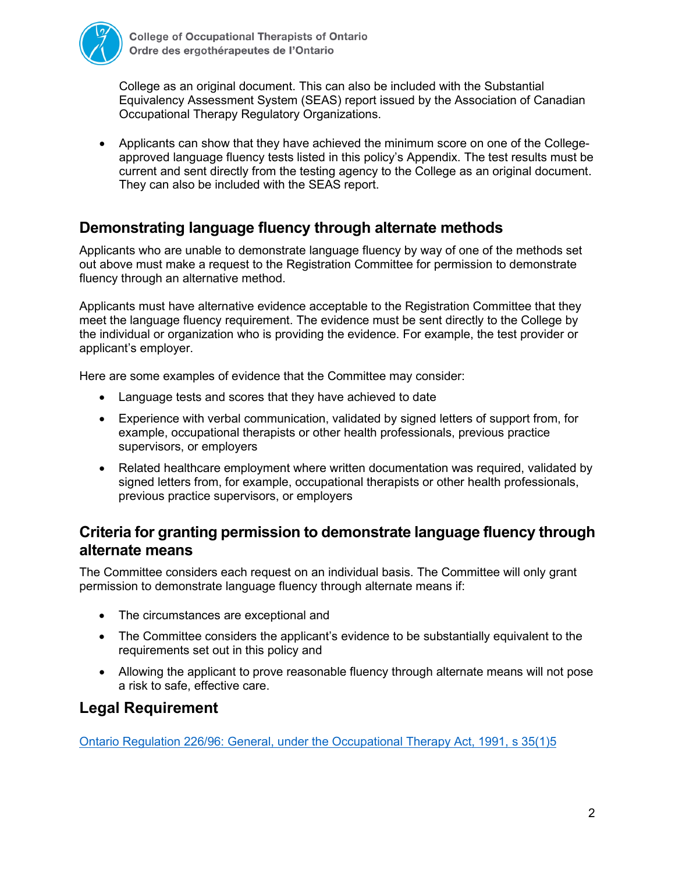

College as an original document. This can also be included with the Substantial Equivalency Assessment System (SEAS) report issued by the Association of Canadian Occupational Therapy Regulatory Organizations.

• Applicants can show that they have achieved the minimum score on one of the Collegeapproved language fluency tests listed in this policy's Appendix. The test results must be current and sent directly from the testing agency to the College as an original document. They can also be included with the SEAS report.

# **Demonstrating language fluency through alternate methods**

Applicants who are unable to demonstrate language fluency by way of one of the methods set out above must make a request to the Registration Committee for permission to demonstrate fluency through an alternative method.

Applicants must have alternative evidence acceptable to the Registration Committee that they meet the language fluency requirement. The evidence must be sent directly to the College by the individual or organization who is providing the evidence. For example, the test provider or applicant's employer.

Here are some examples of evidence that the Committee may consider:

- Language tests and scores that they have achieved to date
- Experience with verbal communication, validated by signed letters of support from, for example, occupational therapists or other health professionals, previous practice supervisors, or employers
- Related healthcare employment where written documentation was required, validated by signed letters from, for example, occupational therapists or other health professionals, previous practice supervisors, or employers

## **Criteria for granting permission to demonstrate language fluency through alternate means**

The Committee considers each request on an individual basis. The Committee will only grant permission to demonstrate language fluency through alternate means if:

- The circumstances are exceptional and
- The Committee considers the applicant's evidence to be substantially equivalent to the requirements set out in this policy and
- Allowing the applicant to prove reasonable fluency through alternate means will not pose a risk to safe, effective care.

### **Legal Requirement**

[Ontario Regulation 226/96: General, under the Occupational Therapy Act, 1991,](https://www.ontario.ca/laws/regulation/960226) s 35(1)5